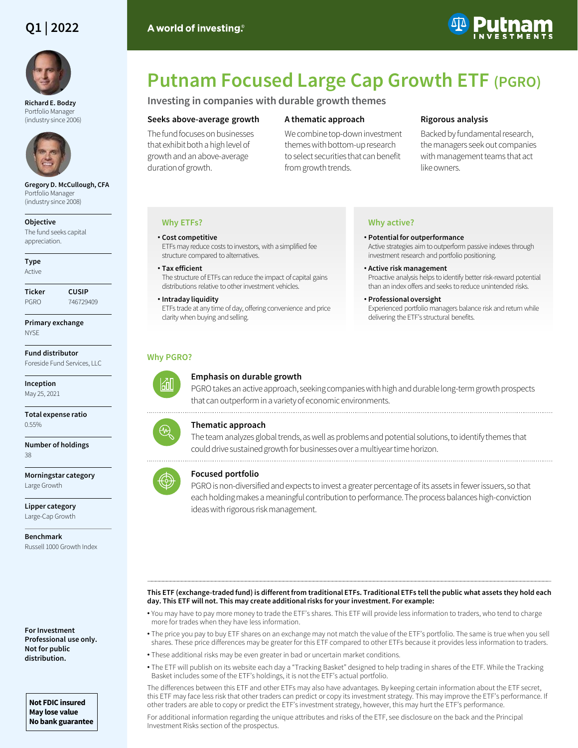# **Q1 | 2022**



**Richard E. Bodzy** Portfolio Manager (industry since 2006)



**Gregory D. McCullough, CFA**  Portfolio Manager (industry since 2008)

#### **Objective**

The fund seeks capital appreciation.

**Type** Active

**Ticker CUSIP** PGRO 746729409

**Primary exchange NYSE** 

**Fund distributor** Foreside Fund Services, LLC

**Inception** May 25, 2021

**Total expense ratio** 0.55%

**Number of holdings** 38

**Morningstar category** Large Growth

**Lipper category** Large-Cap Growth

**Benchmark** Russell 1000 Growth Index

**For Investment Professional use only. Not for public distribution.**

**Not FDIC insured May lose value No bank guarantee**

# **Putnam Focused Large Cap Growth ETF (PGRO)**

**Investing in companies with durable growth themes** 

#### **Seeks above-average growth**

The fund focuses on businesses that exhibit both a high level of growth and an above-average duration of growth.

## **A thematic approach**

We combine top-down investment themes with bottom-up research to select securities that can benefit from growth trends.

### **Rigorous analysis**

Backed by fundamental research, the managers seek out companies with management teams that act like owners.

#### **Why ETFs?**

• **Cost competitive** ETFs may reduce costs to investors, with a simplified fee structure compared to alternatives.

- **Tax efficient** The structure of ETFs can reduce the impact of capital gains distributions relative to other investment vehicles.
- **Intraday liquidity** ETFs trade at any time of day, offering convenience and price clarity when buying and selling.

# **Why active?**

- **Potential for outperformance** Active strategies aim to outperform passive indexes through investment research and portfolio positioning.
- **Active risk management** Proactive analysis helps to identify better risk-reward potential than an index offers and seeks to reduce unintended risks.
- **Professional oversight** Experienced portfolio managers balance risk and return while delivering the ETF's structural benefits.

# **Why PGRO?**



# **Emphasis on durable growth**



# **Thematic approach**





#### **Focused portfolio**

PGRO is non-diversified and expects to invest a greater percentage of its assets in fewer issuers, so that each holding makes a meaningful contribution to performance. The process balances high-conviction ideas with rigorous risk management.

#### ――――――――――――――――――――――――――――――――――――――――――――――――――――――――――――――――――――――――――――――――――――――――――――――――――――――――――― **This ETF (exchange-traded fund) is different from traditional ETFs. Traditional ETFs tell the public what assets they hold each day. This ETF will not. This may create additional risks for your investment. For example:**

- You may have to pay more money to trade the ETF's shares. This ETF will provide less information to traders, who tend to charge more for trades when they have less information.
- The price you pay to buy ETF shares on an exchange may not match the value of the ETF's portfolio. The same is true when you sell shares. These price differences may be greater for this ETF compared to other ETFs because it provides less information to traders.
- These additional risks may be even greater in bad or uncertain market conditions.
- The ETF will publish on its website each day a "Tracking Basket" designed to help trading in shares of the ETF. While the Tracking Basket includes some of the ETF's holdings, it is not the ETF's actual portfolio.

The differences between this ETF and other ETFs may also have advantages. By keeping certain information about the ETF secret, this ETF may face less risk that other traders can predict or copy its investment strategy. This may improve the ETF's performance. If other traders are able to copy or predict the ETF's investment strategy, however, this may hurt the ETF's performance.

For additional information regarding the unique attributes and risks of the ETF, see disclosure on the back and the Principal Investment Risks section of the prospectus.



砚